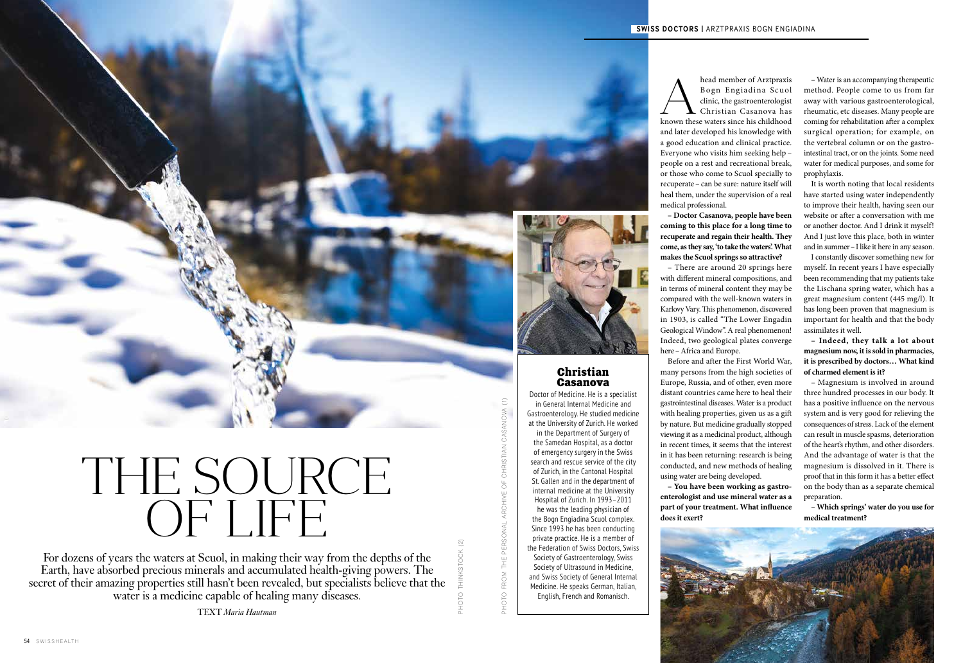# THE SOURCE OF LIFE

## Christian Casanova

Doctor of Medicine. He is a specialist in General Internal Medicine and Gastroenterology. He studied medicine at the University of Zurich. He worked in the Department of Surgery of the Samedan Hospital, as a doctor of emergency surgery in the Swiss search and rescue service of the city of Zurich, in the Cantonal Hospital St. Gallen and in the department of internal medicine at the University Hospital of Zurich. In 1993–2011 he was the leading physician of the Bogn Engiadina Scuol complex. Since 1993 he has been conducting private practice. He is a member of the Federation of Swiss Doctors, Swiss Society of Gastroenterology, Swiss Society of Ultrasound in Medicine, and Swiss Society of General Internal Medicine. He speaks German, Italian, English, French and Romanisch.

– Water is an accompanying therapeutic method. People come to us from far away with various gastroenterological, rheumatic, etc diseases. Many people are coming for rehabilitation after a complex surgical operation; for example, on the vertebral column or on the gastrointestinal tract, or on the joints. Some need water for medical purposes, and some for prophylaxis.

It is worth noting that local residents have started using water independently to improve their health, having seen our website or after a conversation with me or another doctor. And I drink it myself! And I just love this place, both in winter and in summer–I like it here in any season.

– There are around 20 springs here with different mineral compositions, and in terms of mineral content they may be compared with the well-known waters in Karlovy Vary. This phenomenon, discovered in 1903, is called "The Lower Engadin Geological Window". A real phenomenon! Indeed, two geological plates converge here – Africa and Europe.

I constantly discover something new for myself. In recent years I have especially been recommending that my patients take the Lischana spring water, which has a great magnesium content (445 mg/l). It has long been proven that magnesium is important for health and that the body assimilates it well.

**– Indeed, they talk a lot about magnesium now, it is sold in pharmacies, it is prescribed by doctors… What kind of charmed element is it?**

For dozens of years the waters at Scuol, in making their way from the depths of the Earth, have absorbed precious minerals and accumulated health-giving powers. The secret of their amazing properties still hasn't been revealed, but specialists believe that the water is a medicine capable of healing many diseases.

– Magnesium is involved in around three hundred processes in our body. It has a positive influence on the nervous system and is very good for relieving the consequences of stress. Lack of the element can result in muscle spasms, deterioration of the heart's rhythm, and other disorders. And the advantage of water is that the magnesium is dissolved in it. There is proof that in this form it has a better effect on the body than as a separate chemical preparation.

**– Which springs' water do you use for medical treatment?**

head member of Arztpraxis Bogn Engiadina Scuol clinic, the gastroenterologist Christian Casanova has head member of Arztpraxis<br>Bogn Engiadina Scuol<br>clinic, the gastroenterologist<br>known these waters since his childhood and later developed his knowledge with a good education and clinical practice. Everyone who visits him seeking help – people on a rest and recreational break, or those who come to Scuol specially to recuperate – can be sure: nature itself will heal them, under the supervision of a real medical professional.

**– Doctor Casanova, people have been coming to this place for a long time to recuperate and regain their health. They come, as they say, 'to take the waters'. What makes the Scuol springs so attractive?**

Before and after the First World War, many persons from the high societies of Europe, Russia, and of other, even more distant countries came here to heal their gastrointestinal diseases. Water is a product with healing properties, given us as a gift by nature. But medicine gradually stopped viewing it as a medicinal product, although in recent times, it seems that the interest in it has been returning: research is being conducted, and new methods of healing using water are being developed.

**– You have been working as gastroenterologist and use mineral water as a part of your treatment. What influence does it exert?**



ТЕXT *Maria Hautman*



PHOTO THINKSTOCK (2)

PHOTO FROM THE PERSONAL ARCHIVE OF CHRISTIAN CASANOVA (1)

ARCHIVE OF

PHOTO FROM THE PERSONAL

CHRISTIAN